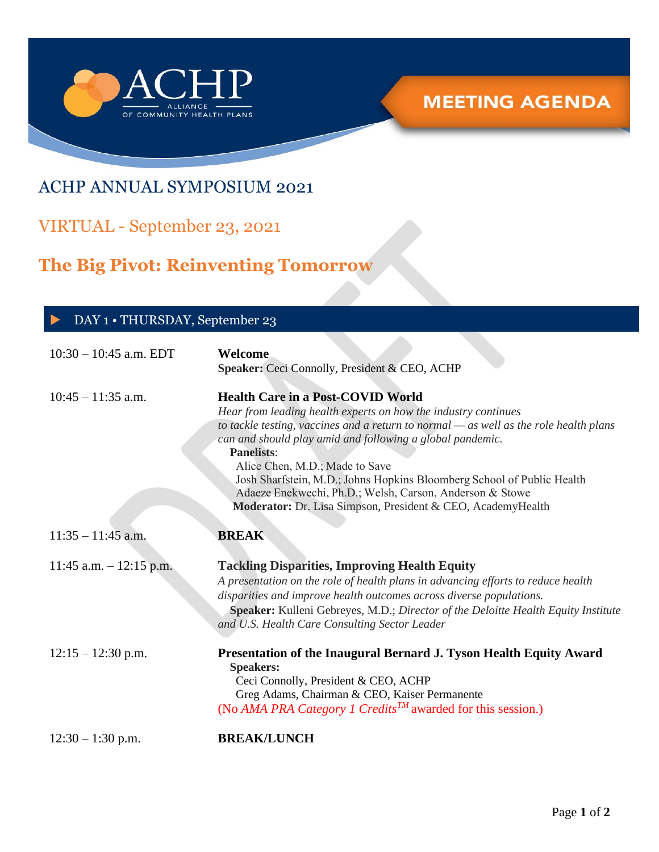

## ACHP ANNUAL SYMPOSIUM 2021

## VIRTUAL - September 23, 2021

# **The Big Pivot: Reinventing Tomorrow**

| DAY 1 • THURSDAY, September 23 |                                                                                                                                                                                                                                                                                                                                                                                                                                                                                                                                |
|--------------------------------|--------------------------------------------------------------------------------------------------------------------------------------------------------------------------------------------------------------------------------------------------------------------------------------------------------------------------------------------------------------------------------------------------------------------------------------------------------------------------------------------------------------------------------|
| $10:30 - 10:45$ a.m. EDT       | Welcome<br>Speaker: Ceci Connolly, President & CEO, ACHP                                                                                                                                                                                                                                                                                                                                                                                                                                                                       |
| $10:45 - 11:35$ a.m.           | <b>Health Care in a Post-COVID World</b><br>Hear from leading health experts on how the industry continues<br>to tackle testing, vaccines and a return to normal $-$ as well as the role health plans<br>can and should play amid and following a global pandemic.<br><b>Panelists:</b><br>Alice Chen, M.D.; Made to Save<br>Josh Sharfstein, M.D.; Johns Hopkins Bloomberg School of Public Health<br>Adaeze Enekwechi, Ph.D.; Welsh, Carson, Anderson & Stowe<br>Moderator: Dr. Lisa Simpson, President & CEO, AcademyHealth |
| $11:35 - 11:45$ a.m.           | <b>BREAK</b>                                                                                                                                                                                                                                                                                                                                                                                                                                                                                                                   |
| 11:45 a.m. $-$ 12:15 p.m.      | <b>Tackling Disparities, Improving Health Equity</b><br>A presentation on the role of health plans in advancing efforts to reduce health<br>disparities and improve health outcomes across diverse populations.<br>Speaker: Kulleni Gebreyes, M.D.; Director of the Deloitte Health Equity Institute<br>and U.S. Health Care Consulting Sector Leader                                                                                                                                                                          |
| $12:15 - 12:30$ p.m.           | Presentation of the Inaugural Bernard J. Tyson Health Equity Award<br>$S_{\text{nonbrane}}$                                                                                                                                                                                                                                                                                                                                                                                                                                    |

 **Speakers:** Ceci Connolly, President & CEO, ACHP Greg Adams, Chairman & CEO, Kaiser Permanente (No *AMA PRA Category 1 CreditsTM* awarded for this session.)

12:30 – 1:30 p.m. **BREAK/LUNCH**